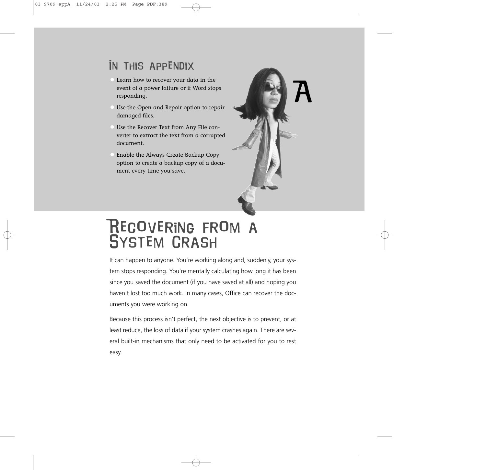## In this appendix

- Learn how to recover your data in the event of a power failure or if Word stops responding.
- Use the Open and Repair option to repair damaged files.
- Use the Recover Text from Any File converter to extract the text from a corrupted document.
- Enable the Always Create Backup Copy option to create a backup copy of a document every time you save.



# Recovering from a System Crash

It can happen to anyone. You're working along and, suddenly, your system stops responding. You're mentally calculating how long it has been since you saved the document (if you have saved at all) and hoping you haven't lost too much work. In many cases, Office can recover the documents you were working on.

Because this process isn't perfect, the next objective is to prevent, or at least reduce, the loss of data if your system crashes again. There are several built-in mechanisms that only need to be activated for you to rest easy.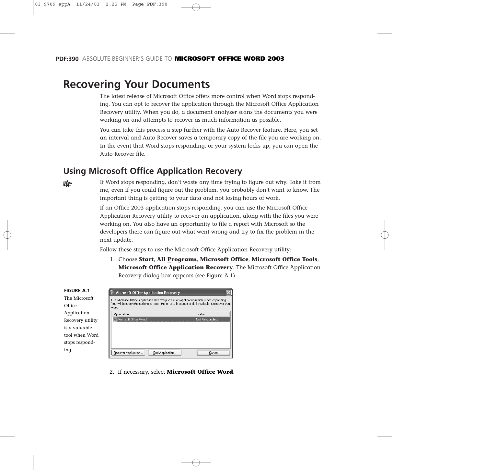## **Recovering Your Documents**

The latest release of Microsoft Office offers more control when Word stops responding. You can opt to recover the application through the Microsoft Office Application Recovery utility. When you do, a document analyzer scans the documents you were working on and attempts to recover as much information as possible.

You can take this process a step further with the Auto Recover feature. Here, you set an interval and Auto Recover saves a temporary copy of the file you are working on. In the event that Word stops responding, or your system locks up, you can open the Auto Recover file.

### **Using Microsoft Office Application Recovery**

N<sub>2</sub>

If Word stops responding, don't waste any time trying to figure out why. Take it from me, even if you could figure out the problem, you probably don't want to know. The important thing is getting to your data and not losing hours of work.

If an Office 2003 application stops responding, you can use the Microsoft Office Application Recovery utility to recover an application, along with the files you were working on. You also have an opportunity to file a report with Microsoft so the developers there can figure out what went wrong and try to fix the problem in the next update.

Follow these steps to use the Microsoft Office Application Recovery utility:

1. Choose **Start**, **All Programs**, **Microsoft Office**, **Microsoft Office Tools**, **Microsoft Office Application Recovery**. The Microsoft Office Application Recovery dialog box appears (see Figure A.1).

| <b>FIGURE A.1</b> | <b>Microsoft Office Application Recovery</b>                                                               |                                                                                           |  |  |  |  |  |
|-------------------|------------------------------------------------------------------------------------------------------------|-------------------------------------------------------------------------------------------|--|--|--|--|--|
| The Microsoft     |                                                                                                            | Use Microsoft Office Application Recovery to exit an application which is not responding. |  |  |  |  |  |
| Office            | You will be given the options to report the error to Microsoft and, if available, to recover your<br>work. |                                                                                           |  |  |  |  |  |
| Application       | Application                                                                                                | <b>Status</b>                                                                             |  |  |  |  |  |
| Recovery utility  | Microsoft Office Word                                                                                      | Not Responding                                                                            |  |  |  |  |  |
| is a valuable     |                                                                                                            |                                                                                           |  |  |  |  |  |
| tool when Word    |                                                                                                            |                                                                                           |  |  |  |  |  |
| stops respond-    |                                                                                                            |                                                                                           |  |  |  |  |  |
| ing.              | Recover Application<br>End Application                                                                     | Cancel                                                                                    |  |  |  |  |  |

2. If necessary, select **Microsoft Office Word**.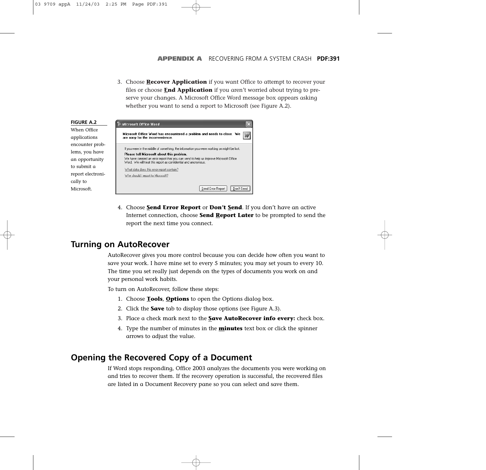3. Choose **Recover Application** if you want Office to attempt to recover your files or choose **End Application** if you aren't worried about trying to preserve your changes. A Microsoft Office Word message box appears asking whether you want to send a report to Microsoft (see Figure A.2).



4. Choose **Send Error Report** or **Don't Send**. If you don't have an active Internet connection, choose **Send Report Later** to be prompted to send the report the next time you connect.

## **Turning on AutoRecover**

AutoRecover gives you more control because you can decide how often you want to save your work. I have mine set to every 5 minutes; you may set yours to every 10. The time you set really just depends on the types of documents you work on and your personal work habits.

To turn on AutoRecover, follow these steps:

- 1. Choose **Tools**, **Options** to open the Options dialog box.
- 2. Click the **Save** tab to display those options (see Figure A.3).
- 3. Place a check mark next to the **Save AutoRecover info every:** check box.
- 4. Type the number of minutes in the **minutes** text box or click the spinner arrows to adjust the value.

## **Opening the Recovered Copy of a Document**

If Word stops responding, Office 2003 analyzes the documents you were working on and tries to recover them. If the recovery operation is successful, the recovered files are listed in a Document Recovery pane so you can select and save them.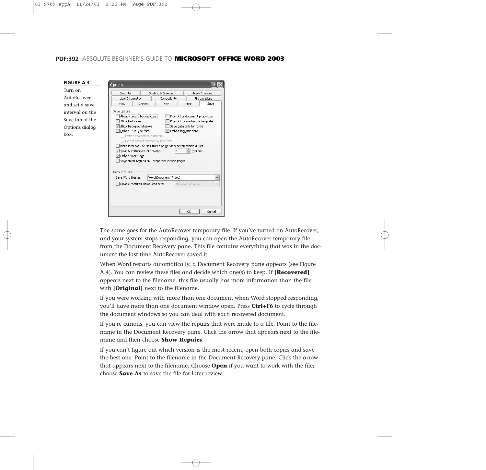#### **PDF:392** ABSOLUTE BEGINNER'S GUIDE TO **MICROSOFT OFFICE WORD 2003**

| Turn on         | Security                                                                                                                                                                                                                                                                     |                                                          |                       |                                |                                               |  |
|-----------------|------------------------------------------------------------------------------------------------------------------------------------------------------------------------------------------------------------------------------------------------------------------------------|----------------------------------------------------------|-----------------------|--------------------------------|-----------------------------------------------|--|
| AutoRecover     |                                                                                                                                                                                                                                                                              | Spelling & Grammar<br>Liser Information<br>Compatibility |                       |                                | <b>Track Changes</b><br><b>File Locations</b> |  |
| and set a save  | <b>View</b>                                                                                                                                                                                                                                                                  | General                                                  | Edit                  | Print                          | Save                                          |  |
| interval on the | Save options<br>Always create backup copy                                                                                                                                                                                                                                    |                                                          |                       | Prompt for document properties |                                               |  |
| Save tab of the | Allow fast saves                                                                                                                                                                                                                                                             |                                                          |                       | Prompt to save Normal template |                                               |  |
| Options dialog  | Allow background saves<br>Save data only for forms<br>Embed TrueType fonts<br>Embed linguistic data                                                                                                                                                                          |                                                          |                       |                                |                                               |  |
| box.            | Embed characters in use only<br>Do not embed common system fonts<br>Make local copy of files stored on network or removable drives<br>Save AutoRecover info every:<br>5<br>minutes<br>□ Embed smart tags<br>Saye smart tags as XML properties in Web pages<br>Default format |                                                          |                       |                                |                                               |  |
|                 |                                                                                                                                                                                                                                                                              |                                                          |                       |                                |                                               |  |
|                 | Save Word files as:                                                                                                                                                                                                                                                          |                                                          | Word Document (*.doc) |                                | $\checkmark$                                  |  |

The same goes for the AutoRecover temporary file. If you've turned on AutoRecover, and your system stops responding, you can open the AutoRecover temporary file from the Document Recovery pane. This file contains everything that was in the document the last time AutoRecover saved it.

When Word restarts automatically, a Document Recovery pane appears (see Figure A.4). You can review these files and decide which one(s) to keep. If **[Recovered]** appears next to the filename, this file usually has more information than the file with **[Original]** next to the filename.

If you were working with more than one document when Word stopped responding, you'll have more than one document window open. Press **Ctrl+F6** to cycle through the document windows so you can deal with each recovered document.

If you're curious, you can view the repairs that were made to a file. Point to the filename in the Document Recovery pane. Click the arrow that appears next to the filename and then choose **Show Repairs**.

If you can't figure out which version is the most recent, open both copies and save the best one. Point to the filename in the Document Recovery pane. Click the arrow that appears next to the filename. Choose **Open** if you want to work with the file; choose **Save As** to save the file for later review.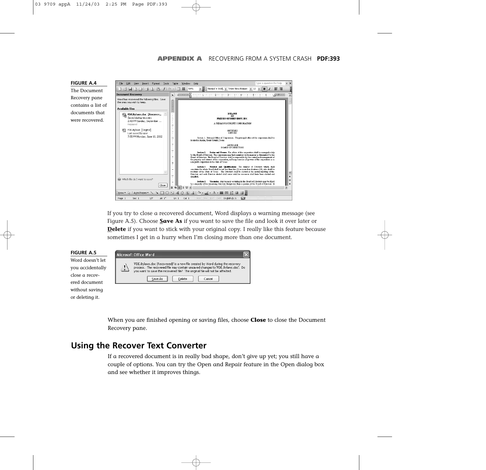

If you try to close a recovered document, Word displays a warning message (see Figure A.5). Choose **Save As** if you want to save the file and look it over later or **Delete** if you want to stick with your original copy. I really like this feature because sometimes I get in a hurry when I'm closing more than one document.



When you are finished opening or saving files, choose **Close** to close the Document Recovery pane.

### **Using the Recover Text Converter**

If a recovered document is in really bad shape, don't give up yet; you still have a couple of options. You can try the Open and Repair feature in the Open dialog box and see whether it improves things.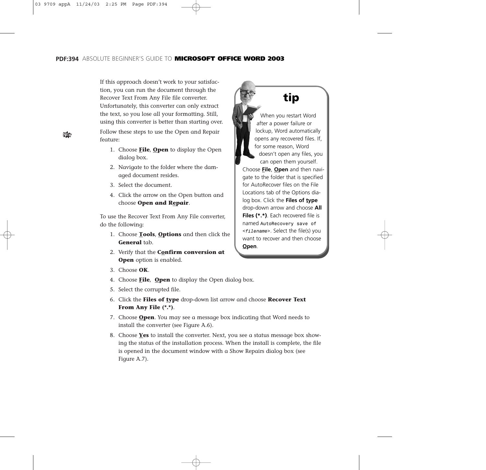If this approach doesn't work to your satisfaction, you can run the document through the Recover Text From Any File file converter. Unfortunately, this converter can only extract the text, so you lose all your formatting. Still, using this converter is better than starting over. Follow these steps to use the Open and Repair feature:

- 1. Choose **File**, **Open** to display the Open dialog box.
- 2. Navigate to the folder where the damaged document resides.
- 3. Select the document.
- 4. Click the arrow on the Open button and choose **Open and Repair**.

To use the Recover Text From Any File converter, do the following:

- 1. Choose **Tools**, **Options** and then click the **General** tab.
- 2. Verify that the **Confirm conversion at Open** option is enabled.



- 4. Choose **File**, **Open** to display the Open dialog box.
- 5. Select the corrupted file.
- 6. Click the **Files of type** drop-down list arrow and choose **Recover Text From Any File (\*.\*)**.
- 7. Choose **Open**. You may see a message box indicating that Word needs to install the converter (see Figure A.6).
- 8. Choose **Yes** to install the converter. Next, you see a status message box showing the status of the installation process. When the install is complete, the file is opened in the document window with a Show Repairs dialog box (see Figure A.7).

**tip** When you restart Word after a power failure or lockup, Word automatically opens any recovered files. If, for some reason, Word doesn't open any files, you can open them yourself. Choose **File**, **Open** and then navigate to the folder that is specified for AutoRecover files on the File Locations tab of the Options dialog box. Click the **Files of type** 

drop-down arrow and choose **All Files (\*.\*)**. Each recovered file is named *AutoRecovery save of <filename>*. Select the file(s) you want to recover and then choose **Open**.

NW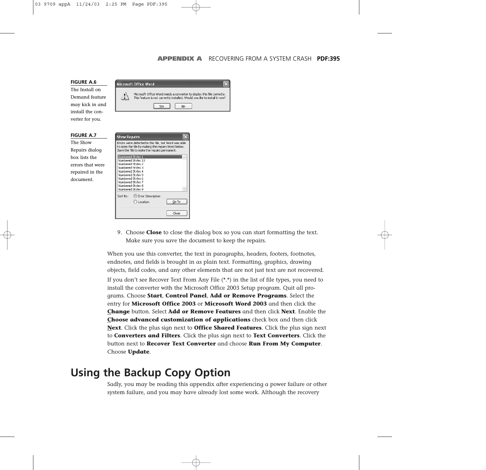

9. Choose **Close** to close the dialog box so you can start formatting the text. Make sure you save the document to keep the repairs.

When you use this converter, the text in paragraphs, headers, footers, footnotes, endnotes, and fields is brought in as plain text. Formatting, graphics, drawing objects, field codes, and any other elements that are not just text are not recovered. If you don't see Recover Text From Any File  $(**)$  in the list of file types, you need to install the converter with the Microsoft Office 2003 Setup program. Quit all programs. Choose **Start**, **Control Panel**, **Add or Remove Programs**. Select the entry for **Microsoft Office 2003** or **Microsoft Word 2003** and then click the **Change** button. Select **Add or Remove Features** and then click **Next**. Enable the **Choose advanced customization of applications** check box and then click **Next**. Click the plus sign next to **Office Shared Features**. Click the plus sign next to **Converters and Filters**. Click the plus sign next to **Text Converters**. Click the button next to **Recover Text Converter** and choose **Run From My Computer**. Choose **Update**.

## **Using the Backup Copy Option**

Sadly, you may be reading this appendix after experiencing a power failure or other system failure, and you may have already lost some work. Although the recovery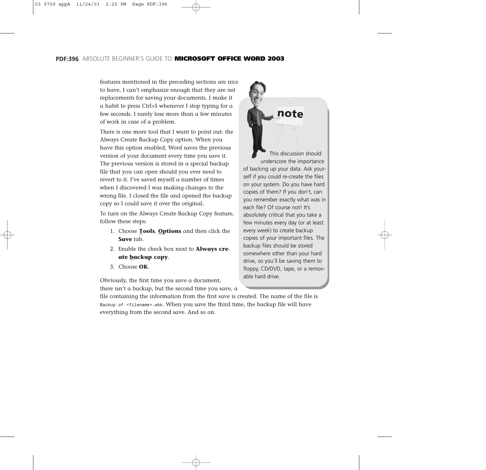#### **PDF:396** ABSOLUTE BEGINNER'S GUIDE TO **MICROSOFT OFFICE WORD 2003**

features mentioned in the preceding sections are nice to have, I can't emphasize enough that they are *not* replacements for saving your documents. I make it a habit to press Ctrl+S whenever I stop typing for a few seconds. I rarely lose more than a few minutes of work in case of a problem.

There is one more tool that I want to point out: the Always Create Backup Copy option. When you have this option enabled, Word saves the previous version of your document every time you save it. The previous version is stored in a special backup file that you can open should you ever need to revert to it. I've saved myself a number of times when I discovered I was making changes to the wrong file. I closed the file and opened the backup copy so I could save it over the original.

To turn on the Always Create Backup Copy feature, follow these steps:

- 1. Choose **Tools**, **Options** and then click the **Save** tab.
- 2. Enable the check box next to **Always create backup copy**.
- 3. Choose **OK**.

Obviously, the first time you save a document, there isn't a backup, but the second time you save, a

This discussion should underscore the importance of backing up your data. Ask yourself if you could re-create the files on your system. Do you have hard copies of them? If you don't, can you remember exactly what was in each file? Of course not! It's absolutely critical that you take a few minutes every day (or at least every week) to create backup copies of your important files. The backup files should be stored somewhere other than your hard drive, so you'll be saving them to floppy, CD/DVD, tape, or a removable hard drive.

note

file containing the information from the first save is created. The name of the file is *Backup of <filename>.wbk*. When you save the third time, the backup file will have everything from the second save. And so on.